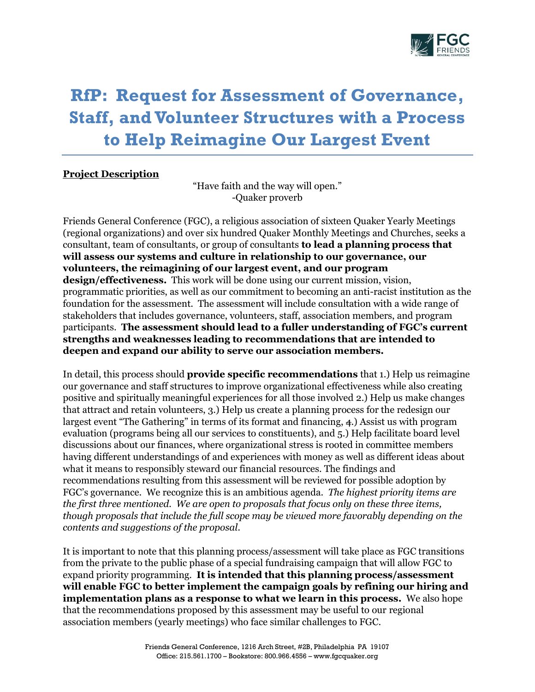

# **RfP: Request for Assessment of Governance, Staff, and Volunteer Structures with a Process to Help Reimagine Our Largest Event**

## **Project Description**

"Have faith and the way will open." -Quaker proverb

Friends General Conference (FGC), a religious association of sixteen Quaker Yearly Meetings (regional organizations) and over six hundred Quaker Monthly Meetings and Churches, seeks a consultant, team of consultants, or group of consultants **to lead a planning process that will assess our systems and culture in relationship to our governance, our volunteers, the reimagining of our largest event, and our program design/effectiveness.** This work will be done using our current mission, vision, programmatic priorities, as well as our commitment to becoming an anti-racist institution as the foundation for the assessment. The assessment will include consultation with a wide range of stakeholders that includes governance, volunteers, staff, association members, and program participants. **The assessment should lead to a fuller understanding of FGC's current strengths and weaknesses leading to recommendations that are intended to deepen and expand our ability to serve our association members.**

In detail, this process should **provide specific recommendations** that 1.) Help us reimagine our governance and staff structures to improve organizational effectiveness while also creating positive and spiritually meaningful experiences for all those involved 2.) Help us make changes that attract and retain volunteers, 3.) Help us create a planning process for the redesign our largest event "The Gathering" in terms of its format and financing, 4.) Assist us with program evaluation (programs being all our services to constituents), and 5.) Help facilitate board level discussions about our finances, where organizational stress is rooted in committee members having different understandings of and experiences with money as well as different ideas about what it means to responsibly steward our financial resources. The findings and recommendations resulting from this assessment will be reviewed for possible adoption by FGC's governance. We recognize this is an ambitious agenda. *The highest priority items are the first three mentioned. We are open to proposals that focus only on these three items, though proposals that include the full scope may be viewed more favorably depending on the contents and suggestions of the proposal.* 

It is important to note that this planning process/assessment will take place as FGC transitions from the private to the public phase of a special fundraising campaign that will allow FGC to expand priority programming. **It is intended that this planning process/assessment will enable FGC to better implement the campaign goals by refining our hiring and implementation plans as a response to what we learn in this process.** We also hope that the recommendations proposed by this assessment may be useful to our regional association members (yearly meetings) who face similar challenges to FGC.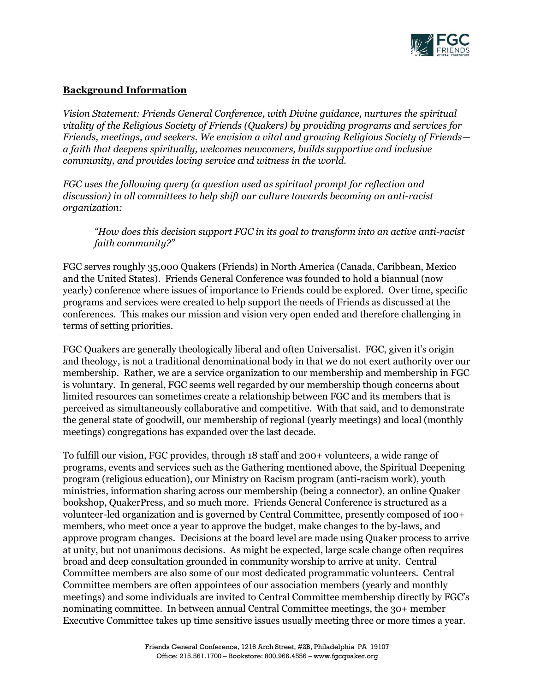

## **Background Information**

*Vision Statement: Friends General Conference, with Divine guidance, nurtures the spiritual vitality of the Religious Society of Friends (Quakers) by providing programs and services for Friends, meetings, and seekers. We envision a vital and growing Religious Society of Friends a faith that deepens spiritually, welcomes newcomers, builds supportive and inclusive community, and provides loving service and witness in the world.*

*FGC uses the following query (a question used as spiritual prompt for reflection and discussion) in all committees to help shift our culture towards becoming an anti-racist organization:*

*"How does this decision support FGC in its goal to transform into an active anti-racist faith community?"*

FGC serves roughly 35,000 Quakers (Friends) in North America (Canada, Caribbean, Mexico and the United States). Friends General Conference was founded to hold a biannual (now yearly) conference where issues of importance to Friends could be explored. Over time, specific programs and services were created to help support the needs of Friends as discussed at the conferences. This makes our mission and vision very open ended and therefore challenging in terms of setting priorities.

FGC Quakers are generally theologically liberal and often Universalist. FGC, given it's origin and theology, is not a traditional denominational body in that we do not exert authority over our membership. Rather, we are a service organization to our membership and membership in FGC is voluntary. In general, FGC seems well regarded by our membership though concerns about limited resources can sometimes create a relationship between FGC and its members that is perceived as simultaneously collaborative and competitive. With that said, and to demonstrate the general state of goodwill, our membership of regional (yearly meetings) and local (monthly meetings) congregations has expanded over the last decade.

To fulfill our vision, FGC provides, through 18 staff and 200+ volunteers, a wide range of programs, events and services such as the Gathering mentioned above, the Spiritual Deepening program (religious education), our Ministry on Racism program (anti-racism work), youth ministries, information sharing across our membership (being a connector), an online Quaker bookshop, QuakerPress, and so much more. Friends General Conference is structured as a volunteer-led organization and is governed by Central Committee, presently composed of 100+ members, who meet once a year to approve the budget, make changes to the by-laws, and approve program changes. Decisions at the board level are made using Quaker process to arrive at unity, but not unanimous decisions. As might be expected, large scale change often requires broad and deep consultation grounded in community worship to arrive at unity. Central Committee members are also some of our most dedicated programmatic volunteers. Central Committee members are often appointees of our association members (yearly and monthly meetings) and some individuals are invited to Central Committee membership directly by FGC's nominating committee. In between annual Central Committee meetings, the 30+ member Executive Committee takes up time sensitive issues usually meeting three or more times a year.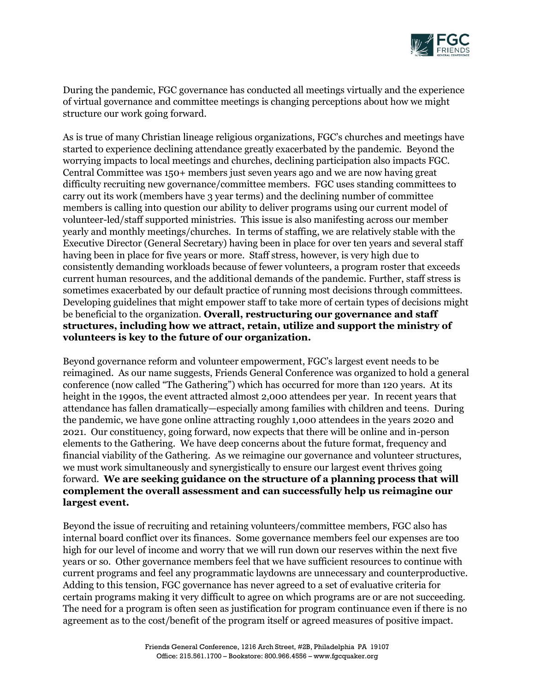

During the pandemic, FGC governance has conducted all meetings virtually and the experience of virtual governance and committee meetings is changing perceptions about how we might structure our work going forward.

As is true of many Christian lineage religious organizations, FGC's churches and meetings have started to experience declining attendance greatly exacerbated by the pandemic. Beyond the worrying impacts to local meetings and churches, declining participation also impacts FGC. Central Committee was 150+ members just seven years ago and we are now having great difficulty recruiting new governance/committee members. FGC uses standing committees to carry out its work (members have 3 year terms) and the declining number of committee members is calling into question our ability to deliver programs using our current model of volunteer-led/staff supported ministries. This issue is also manifesting across our member yearly and monthly meetings/churches. In terms of staffing, we are relatively stable with the Executive Director (General Secretary) having been in place for over ten years and several staff having been in place for five years or more. Staff stress, however, is very high due to consistently demanding workloads because of fewer volunteers, a program roster that exceeds current human resources, and the additional demands of the pandemic. Further, staff stress is sometimes exacerbated by our default practice of running most decisions through committees. Developing guidelines that might empower staff to take more of certain types of decisions might be beneficial to the organization. **Overall, restructuring our governance and staff structures, including how we attract, retain, utilize and support the ministry of volunteers is key to the future of our organization.**

Beyond governance reform and volunteer empowerment, FGC's largest event needs to be reimagined. As our name suggests, Friends General Conference was organized to hold a general conference (now called "The Gathering") which has occurred for more than 120 years. At its height in the 1990s, the event attracted almost 2,000 attendees per year. In recent years that attendance has fallen dramatically—especially among families with children and teens. During the pandemic, we have gone online attracting roughly 1,000 attendees in the years 2020 and 2021. Our constituency, going forward, now expects that there will be online and in-person elements to the Gathering. We have deep concerns about the future format, frequency and financial viability of the Gathering. As we reimagine our governance and volunteer structures, we must work simultaneously and synergistically to ensure our largest event thrives going forward. **We are seeking guidance on the structure of a planning process that will complement the overall assessment and can successfully help us reimagine our largest event.**

Beyond the issue of recruiting and retaining volunteers/committee members, FGC also has internal board conflict over its finances. Some governance members feel our expenses are too high for our level of income and worry that we will run down our reserves within the next five years or so. Other governance members feel that we have sufficient resources to continue with current programs and feel any programmatic laydowns are unnecessary and counterproductive. Adding to this tension, FGC governance has never agreed to a set of evaluative criteria for certain programs making it very difficult to agree on which programs are or are not succeeding. The need for a program is often seen as justification for program continuance even if there is no agreement as to the cost/benefit of the program itself or agreed measures of positive impact.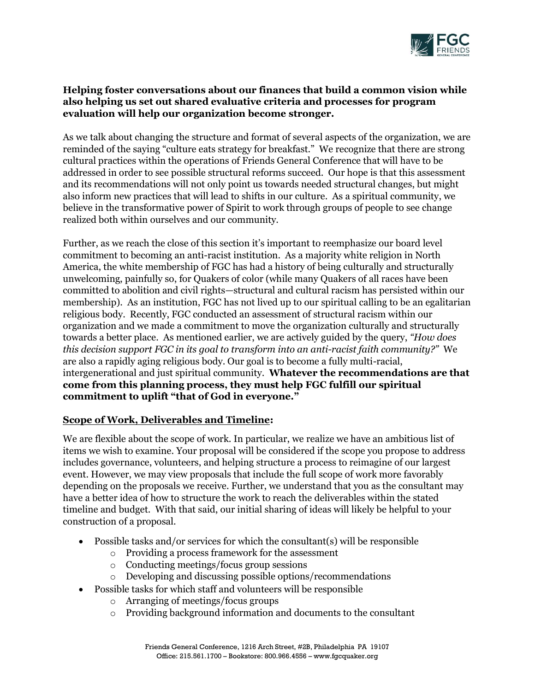

## **Helping foster conversations about our finances that build a common vision while also helping us set out shared evaluative criteria and processes for program evaluation will help our organization become stronger.**

As we talk about changing the structure and format of several aspects of the organization, we are reminded of the saying "culture eats strategy for breakfast." We recognize that there are strong cultural practices within the operations of Friends General Conference that will have to be addressed in order to see possible structural reforms succeed. Our hope is that this assessment and its recommendations will not only point us towards needed structural changes, but might also inform new practices that will lead to shifts in our culture. As a spiritual community, we believe in the transformative power of Spirit to work through groups of people to see change realized both within ourselves and our community.

Further, as we reach the close of this section it's important to reemphasize our board level commitment to becoming an anti-racist institution. As a majority white religion in North America, the white membership of FGC has had a history of being culturally and structurally unwelcoming, painfully so, for Quakers of color (while many Quakers of all races have been committed to abolition and civil rights—structural and cultural racism has persisted within our membership). As an institution, FGC has not lived up to our spiritual calling to be an egalitarian religious body. Recently, FGC conducted an assessment of structural racism within our organization and we made a commitment to move the organization culturally and structurally towards a better place. As mentioned earlier, we are actively guided by the query, *"How does this decision support FGC in its goal to transform into an anti-racist faith community?"* We are also a rapidly aging religious body. Our goal is to become a fully multi-racial, intergenerational and just spiritual community. **Whatever the recommendations are that come from this planning process, they must help FGC fulfill our spiritual commitment to uplift "that of God in everyone."**

# **Scope of Work, Deliverables and Timeline:**

We are flexible about the scope of work. In particular, we realize we have an ambitious list of items we wish to examine. Your proposal will be considered if the scope you propose to address includes governance, volunteers, and helping structure a process to reimagine of our largest event. However, we may view proposals that include the full scope of work more favorably depending on the proposals we receive. Further, we understand that you as the consultant may have a better idea of how to structure the work to reach the deliverables within the stated timeline and budget. With that said, our initial sharing of ideas will likely be helpful to your construction of a proposal.

- Possible tasks and/or services for which the consultant(s) will be responsible
	- o Providing a process framework for the assessment
	- o Conducting meetings/focus group sessions
	- o Developing and discussing possible options/recommendations
- Possible tasks for which staff and volunteers will be responsible
	- o Arranging of meetings/focus groups
	- o Providing background information and documents to the consultant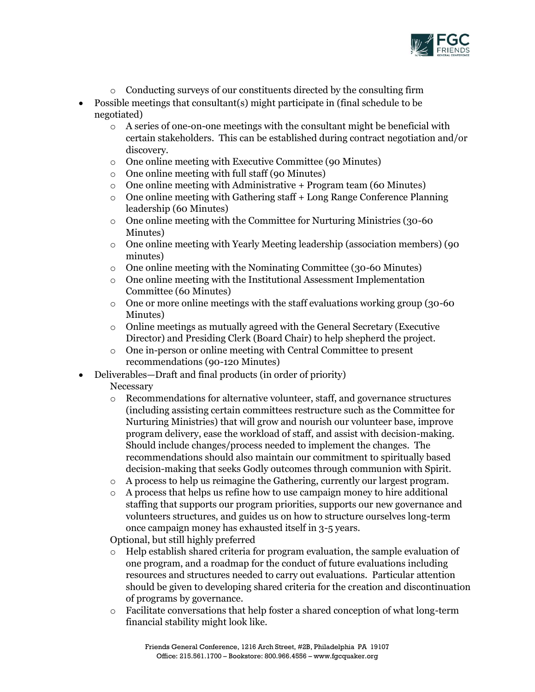

- o Conducting surveys of our constituents directed by the consulting firm
- Possible meetings that consultant(s) might participate in (final schedule to be negotiated)
	- $\circ$  A series of one-on-one meetings with the consultant might be beneficial with certain stakeholders. This can be established during contract negotiation and/or discovery.
	- o One online meeting with Executive Committee (90 Minutes)
	- o One online meeting with full staff (90 Minutes)
	- $\circ$  One online meeting with Administrative + Program team (60 Minutes)
	- o One online meeting with Gathering staff + Long Range Conference Planning leadership (60 Minutes)
	- o One online meeting with the Committee for Nurturing Ministries (30-60 Minutes)
	- o One online meeting with Yearly Meeting leadership (association members) (90 minutes)
	- o One online meeting with the Nominating Committee (30-60 Minutes)
	- o One online meeting with the Institutional Assessment Implementation Committee (60 Minutes)
	- $\circ$  One or more online meetings with the staff evaluations working group (30-60) Minutes)
	- $\circ$  Online meetings as mutually agreed with the General Secretary (Executive Director) and Presiding Clerk (Board Chair) to help shepherd the project.
	- o One in-person or online meeting with Central Committee to present recommendations (90-120 Minutes)
- Deliverables—Draft and final products (in order of priority)

Necessary

- o Recommendations for alternative volunteer, staff, and governance structures (including assisting certain committees restructure such as the Committee for Nurturing Ministries) that will grow and nourish our volunteer base, improve program delivery, ease the workload of staff, and assist with decision-making. Should include changes/process needed to implement the changes. The recommendations should also maintain our commitment to spiritually based decision-making that seeks Godly outcomes through communion with Spirit.
- o A process to help us reimagine the Gathering, currently our largest program.
- $\circ$  A process that helps us refine how to use campaign money to hire additional staffing that supports our program priorities, supports our new governance and volunteers structures, and guides us on how to structure ourselves long-term once campaign money has exhausted itself in 3-5 years.

Optional, but still highly preferred

- o Help establish shared criteria for program evaluation, the sample evaluation of one program, and a roadmap for the conduct of future evaluations including resources and structures needed to carry out evaluations. Particular attention should be given to developing shared criteria for the creation and discontinuation of programs by governance.
- $\circ$  Facilitate conversations that help foster a shared conception of what long-term financial stability might look like.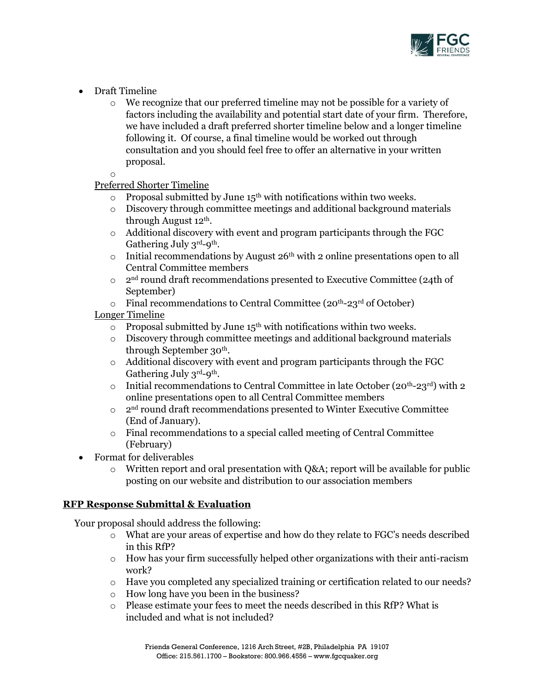

- Draft Timeline
	- $\circ$  We recognize that our preferred timeline may not be possible for a variety of factors including the availability and potential start date of your firm. Therefore, we have included a draft preferred shorter timeline below and a longer timeline following it. Of course, a final timeline would be worked out through consultation and you should feel free to offer an alternative in your written proposal.

o

# Preferred Shorter Timeline

- $\circ$  Proposal submitted by June 15<sup>th</sup> with notifications within two weeks.
- $\circ$  Discovery through committee meetings and additional background materials through August 12th.
- $\circ$  Additional discovery with event and program participants through the FGC Gathering July 3rd-9<sup>th</sup>.
- $\circ$  Initial recommendations by August 26<sup>th</sup> with 2 online presentations open to all Central Committee members
- $\circ$  2<sup>nd</sup> round draft recommendations presented to Executive Committee (24th of September)
- $\circ$  Final recommendations to Central Committee (20<sup>th</sup>-23<sup>rd</sup> of October)

## Longer Timeline

- $\circ$  Proposal submitted by June 15<sup>th</sup> with notifications within two weeks.
- $\circ$  Discovery through committee meetings and additional background materials through September 30th.
- $\circ$  Additional discovery with event and program participants through the FGC Gathering July 3rd-9<sup>th</sup>.
- o Initial recommendations to Central Committee in late October ( $20<sup>th</sup>-23<sup>rd</sup>$ ) with 2 online presentations open to all Central Committee members
- o 2nd round draft recommendations presented to Winter Executive Committee (End of January).
- o Final recommendations to a special called meeting of Central Committee (February)
- Format for deliverables
	- o Written report and oral presentation with Q&A; report will be available for public posting on our website and distribution to our association members

## **RFP Response Submittal & Evaluation**

Your proposal should address the following:

- o What are your areas of expertise and how do they relate to FGC's needs described in this RfP?
- $\circ$  How has your firm successfully helped other organizations with their anti-racism work?
- o Have you completed any specialized training or certification related to our needs?
- o How long have you been in the business?
- o Please estimate your fees to meet the needs described in this RfP? What is included and what is not included?